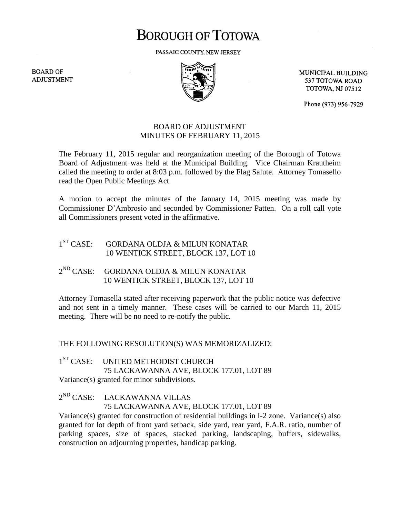# **BOROUGH OF TOTOWA**

PASSAIC COUNTY, NEW JERSEY

**BOARD OF ADJUSTMENT** 



MUNICIPAL BUILDING 537 TOTOWA ROAD **TOTOWA, NJ 07512** 

Phone (973) 956-7929

## BOARD OF ADJUSTMENT MINUTES OF FEBRUARY 11, 2015

The February 11, 2015 regular and reorganization meeting of the Borough of Totowa Board of Adjustment was held at the Municipal Building. Vice Chairman Krautheim called the meeting to order at 8:03 p.m. followed by the Flag Salute. Attorney Tomasello read the Open Public Meetings Act.

A motion to accept the minutes of the January 14, 2015 meeting was made by Commissioner D'Ambrosio and seconded by Commissioner Patten. On a roll call vote all Commissioners present voted in the affirmative.

#### $1<sup>ST</sup> CASE:$ GORDANA OLDJA & MILUN KONATAR 10 WENTICK STREET, BLOCK 137, LOT 10

#### $2^{ND}$  CASE: GORDANA OLDJA & MILUN KONATAR 10 WENTICK STREET, BLOCK 137, LOT 10

Attorney Tomasella stated after receiving paperwork that the public notice was defective and not sent in a timely manner. These cases will be carried to our March 11, 2015 meeting. There will be no need to re-notify the public.

## THE FOLLOWING RESOLUTION(S) WAS MEMORIZALIZED:

 $1^{ST}$  CASE: UNITED METHODIST CHURCH 75 LACKAWANNA AVE, BLOCK 177.01, LOT 89 Variance(s) granted for minor subdivisions.

## 2<sup>ND</sup> CASE: LACKAWANNA VILLAS 75 LACKAWANNA AVE, BLOCK 177.01, LOT 89

Variance(s) granted for construction of residential buildings in I-2 zone. Variance(s) also granted for lot depth of front yard setback, side yard, rear yard, F.A.R. ratio, number of parking spaces, size of spaces, stacked parking, landscaping, buffers, sidewalks, construction on adjourning properties, handicap parking.